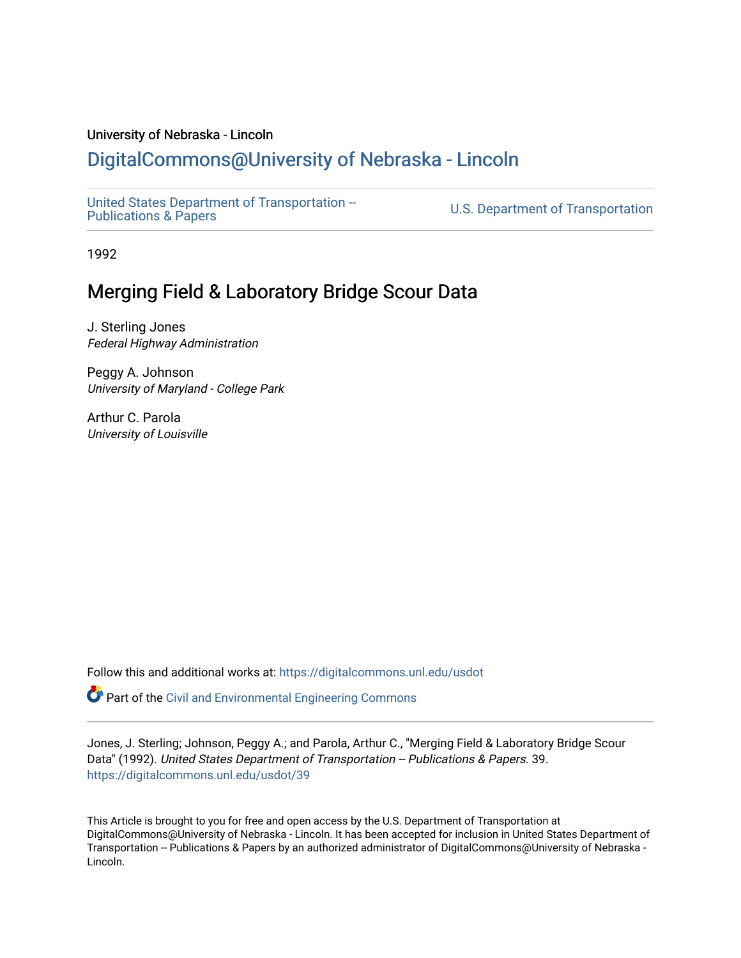## University of Nebraska - Lincoln

# [DigitalCommons@University of Nebraska - Lincoln](https://digitalcommons.unl.edu/)

[United States Department of Transportation --](https://digitalcommons.unl.edu/usdot)<br>Publications & Papers

U.S. Department of Transportation

1992

# Merging Field & Laboratory Bridge Scour Data

J. Sterling Jones Federal Highway Administration

Peggy A. Johnson University of Maryland - College Park

Arthur C. Parola University of Louisville

Follow this and additional works at: [https://digitalcommons.unl.edu/usdot](https://digitalcommons.unl.edu/usdot?utm_source=digitalcommons.unl.edu%2Fusdot%2F39&utm_medium=PDF&utm_campaign=PDFCoverPages) 

**P** Part of the [Civil and Environmental Engineering Commons](http://network.bepress.com/hgg/discipline/251?utm_source=digitalcommons.unl.edu%2Fusdot%2F39&utm_medium=PDF&utm_campaign=PDFCoverPages)

Jones, J. Sterling; Johnson, Peggy A.; and Parola, Arthur C., "Merging Field & Laboratory Bridge Scour Data" (1992). United States Department of Transportation -- Publications & Papers. 39. [https://digitalcommons.unl.edu/usdot/39](https://digitalcommons.unl.edu/usdot/39?utm_source=digitalcommons.unl.edu%2Fusdot%2F39&utm_medium=PDF&utm_campaign=PDFCoverPages)

This Article is brought to you for free and open access by the U.S. Department of Transportation at DigitalCommons@University of Nebraska - Lincoln. It has been accepted for inclusion in United States Department of Transportation -- Publications & Papers by an authorized administrator of DigitalCommons@University of Nebraska -Lincoln.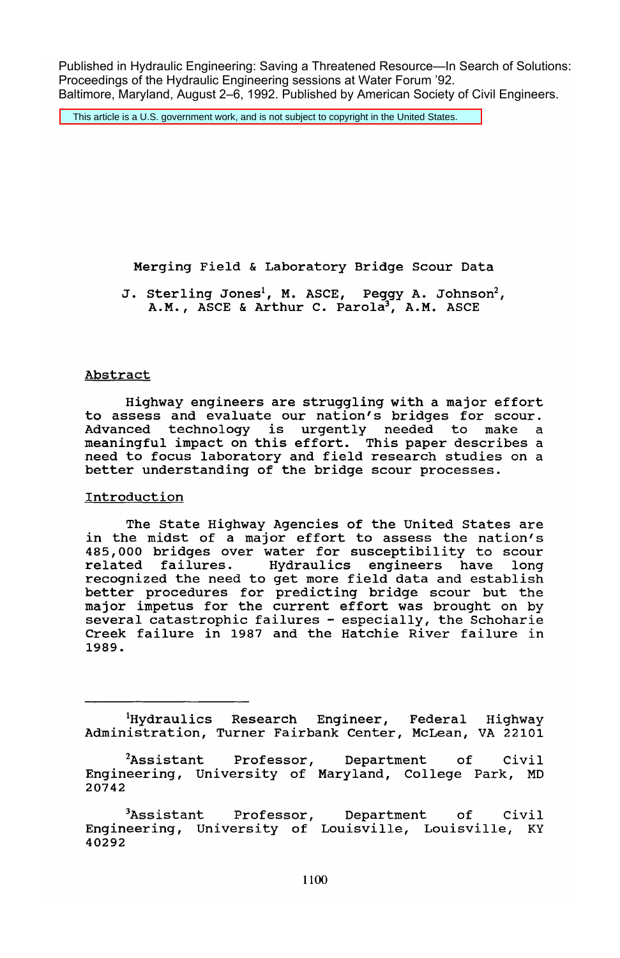Published in Hydraulic Engineering: Saving a Threatened Resource—In Search of Solutions: Proceedings of the Hydraulic Engineering sessions at Water Forum '92. Baltimore, Maryland, August 2–6, 1992. Published by American Society of Civil Engineers.

This article is a U.S. government work, and is not subject to copyright in the United States.

Merging Field & Laboratory Bridge Scour Data

J. Sterling Jones<sup>1</sup>, M. ASCE, Peggy A. Johnson<sup>2</sup>, A.M., ASCE & Arthur C. Parola<sup>3</sup>, A.M. ASCE

#### Abstract

Highway engineers are struggling with a major effort<br>to assess and evaluate our nation's bridges for scour. to assess and evaluate our nation's bridges for scour. Advanced technology is urgently needed to make a meaningful impact on this effort. This paper describes a need to focus laboratory and field research studies on a better understanding of the bridge scour processes.

### Introduction

The State Highway Agencies of the United States are in the midst of a major effort to assess the nation's 485,000 bridges over water for susceptibility to scour related failures. Hydraulics engineers have long recognized the need to get more field data and establish better procedures for predicting bridge scour but the major impetus for the current effort was brought on by several catastrophic failures - especially, the Schoharie Creek failure in 1987 and the Hatchie River failure in 1989.

<sup>1</sup>Hydraulics Research Engineer, Federal Highway Administration, Turner Fairbank Center, McLean, VA 22101

 $^{2}$ Assistant Professor, Department of Civil Engineering, University of Maryland, College Park, MD 20742

<sup>&</sup>lt;sup>3</sup>Assistant Professor, Department of Civil Engineering, University of Louisville, Louisville, KY 40292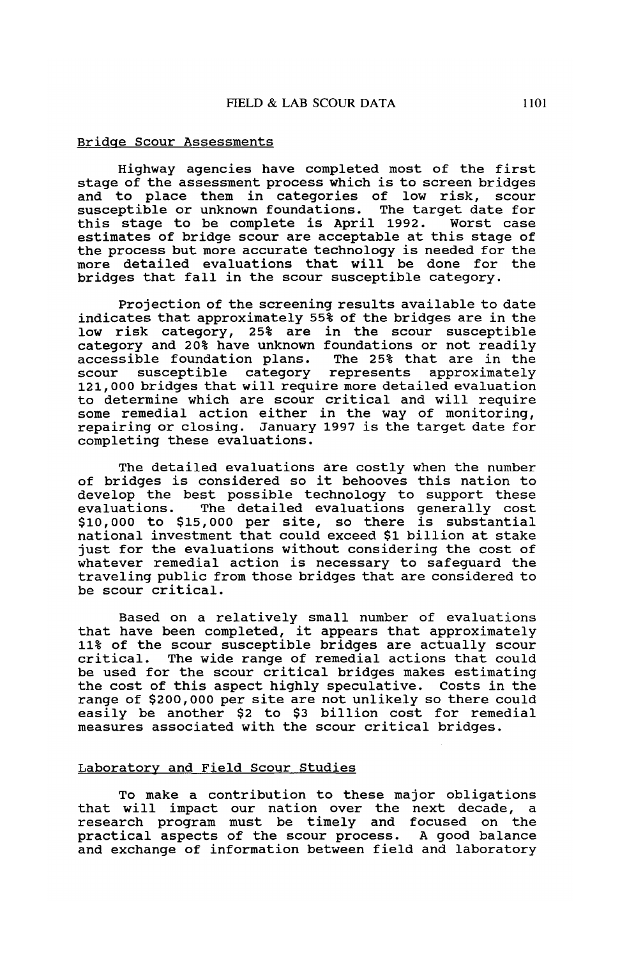#### Bridge Scour Assessments

Highway agencies have completed most of the first stage of the assessment process which is to screen bridges and to place them in categories of low risk, scour susceptible or unknown foundations. The target date for this stage to be complete is April 1992. estimates of bridge scour are acceptable at this stage of the process but more accurate technology is needed for the more detailed evaluations that will be done for the bridges that fall in the scour susceptible category.

Projection of the screening results available to date indicates that approximately 55% of the bridges are in the low risk category, 25% are in the scour susceptible category and 20% have unknown foundations or not readily accessible foundation plans. The 25% that are in the category represents 121, 000 bridges that will require more detailed evaluation to determine which are scour critical and will require some remedial action either in the way of monitoring, repairing or closing. January 1997 is the target date for completing these evaluations.

The detailed evaluations are costly when the number of bridges is considered so it behooves this nation to develop the best possible technology to support these evaluations. The detailed evaluations generally cost \$10, 000 to \$15, 000 per site, so there is sUbstantial national investment that could exceed \$1 billion at stake just for the evaluations without considering the cost of whatever remedial action is necessary to safeguard the traveling public from those bridges that are considered to be scour critical.

Based on a relatively small number of evaluations that have been completed, it appears that approximately 11% of the scour susceptible bridges are actually scour critical. The wide range of remedial actions that could be used for the scour critical bridges makes estimating the cost of this aspect highly speculative. Costs in the range of \$200,000 per site are not unlikely so there could easily be another \$2 to \$3 billion cost for remedial measures associated with the scour critical bridges.

#### Laboratory and Field Scour Studies

To make a contribution to these major obligations that will impact our nation over the next decade, a research program must be timely and focused on the practical aspects of the scour process. A good balance and exchange of information between field and laboratory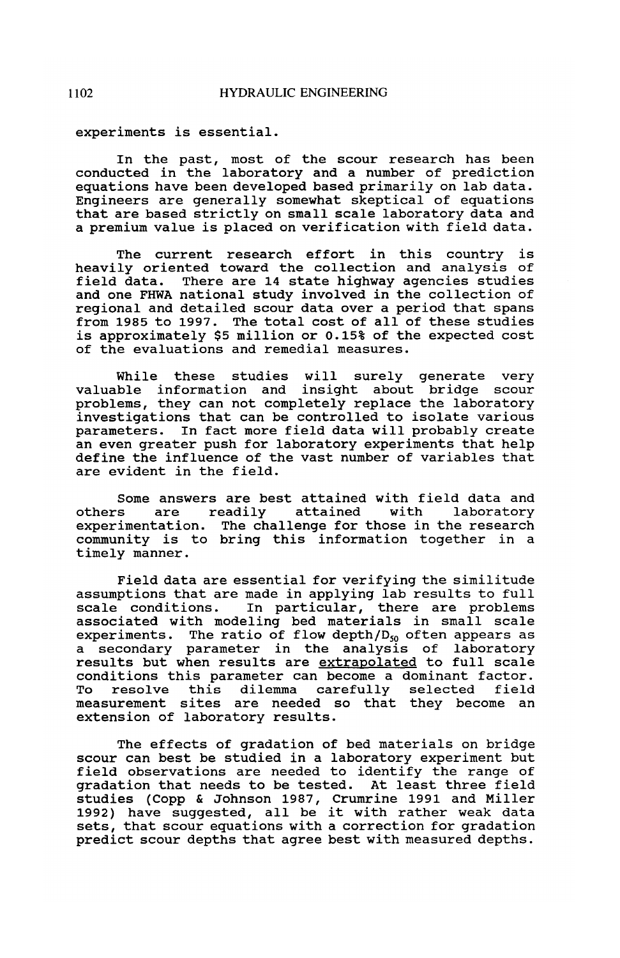experiments is essential.

In the past, most of the scour research has been conducted in the laboratory and a number of prediction equations have been developed based primarily on lab data. Engineers are generally somewhat skeptical of equations that are based strictly on small scale laboratory data and a premium value is placed on verification with field data.

The current research effort in this country is heavily oriented toward the collection and analysis of field data. There are 14 state highway agencies studies and one FHWA national study involved in the collection of regional and detailed scour data over a period that spans from 1985 to 1997. The total cost of all of these studies is approximately \$5 million or 0.15% of the expected cost of the evaluations and remedial measures.

While these studies will surely generate very valuable information and insight about bridge scour problems, they can not completely replace the laboratory investigations that can be controlled to isolate various parameters. In fact more field data will probably create an even greater push for laboratory experiments that help define the influence of the vast number of variables that are evident in the field.

Some answers are best attained with field data and<br>others are readily attained with laboratory are readily attained experimentation. The challenge for those in the research community is to bring this information together in a timely manner.

Field data are essential for verifying the similitude assumptions that are made in applying lab results to full<br>scale conditions. In particular, there are problems In particular, there are problems associated with modeling bed materials in small scale experiments. The ratio of flow depth/ $D_{50}$  often appears as a secondary parameter in the analysis of laboratory results but when results are extrapolated to full scale conditions this parameter can become a dominant factor. resolve this dilemma carefully selected field measurement sites are needed so that they become an extension of laboratory results.

The effects of gradation of bed materials on bridge scour can best be studied in a laboratory experiment but field observations are needed to identify the range of gradation that needs to be tested. At least three field studies (Copp & Johnson 1987, Crumrine 1991 and Miller 1992) have suggested, all be it with rather weak data sets, that scour equations with a correction for gradation predict scour depths that agree best with measured depths.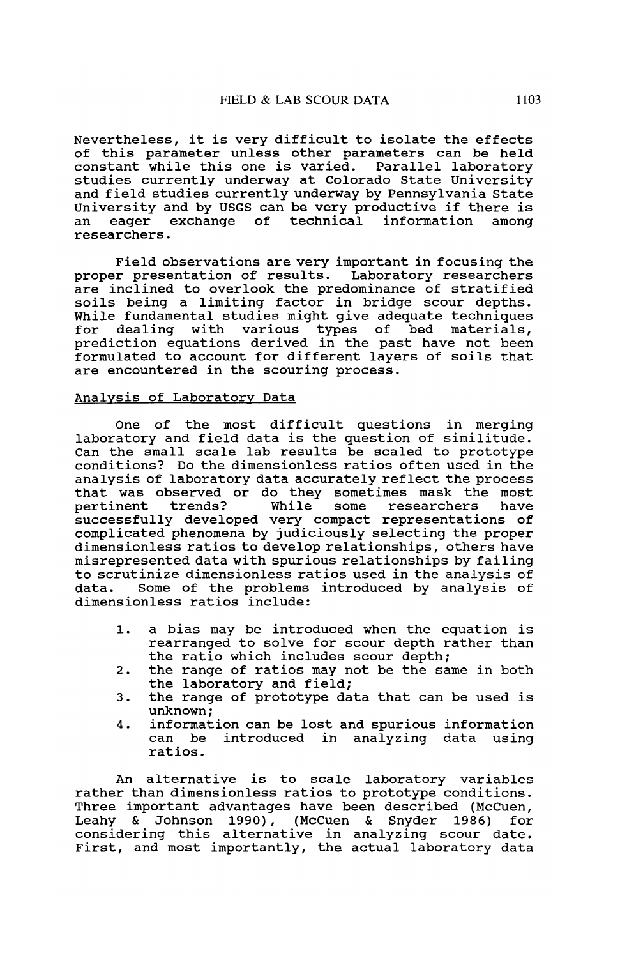Nevertheless, it is very difficult to isolate the effects of this parameter unless other parameters can be held constant while this one is varied. Parallel laboratory studies currently underway at Colorado state University and field studies currently underway by Pennsylvania state University and by USGS can be very productive if there is<br>an eager exchange of technical information among eager exchange of technical information researchers.

Field observations are very important in focusing the proper presentation of results. Laboratory researchers are inclined to overlook the predominance of stratified soils being a limiting factor in bridge scour depths. While fundamental studies might give adequate techniques for dealing with various types of bed materials, prediction equations derived in the past have not been formulated to account for different layers of soils that are encountered in the scouring process.

#### Analysis of Laboratory Data

One of the most difficult questions in merging laboratory and field data is the question of similitude. Can the small scale lab results be scaled to prototype conditions? Do the dimensionless ratios often used in the analysis of laboratory data accurately reflect the process that was observed or do they sometimes mask the most some researchers successfully developed very compact representations of complicated phenomena by judiciously selecting the proper dimensionless ratios to develop relationships, others have misrepresented data with spurious relationships by failing to scrutinize dimensionless ratios used in the analysis of Some of the problems introduced by analysis of dimensionless ratios include:

- 1. a bias may be introduced when the equation is rearranged to solve for scour depth rather than the ratio which includes scour depth;
- 2. the range of ratios may not be the same in both the laboratory and field;
- 3. the range of prototype data that can be used is unknown;
- 4. information can be lost and spurious information can be introduced in analyzing data using ratios.

An alternative is to scale laboratory variables rather than dimensionless ratios to prototype conditions. Three important advantages have been described (McCuen, Leahy & Johnson 1990), (McCuen & Snyder 1986) for considering this alternative in analyzing scour date. econstacting this ditermative in dharping securitate: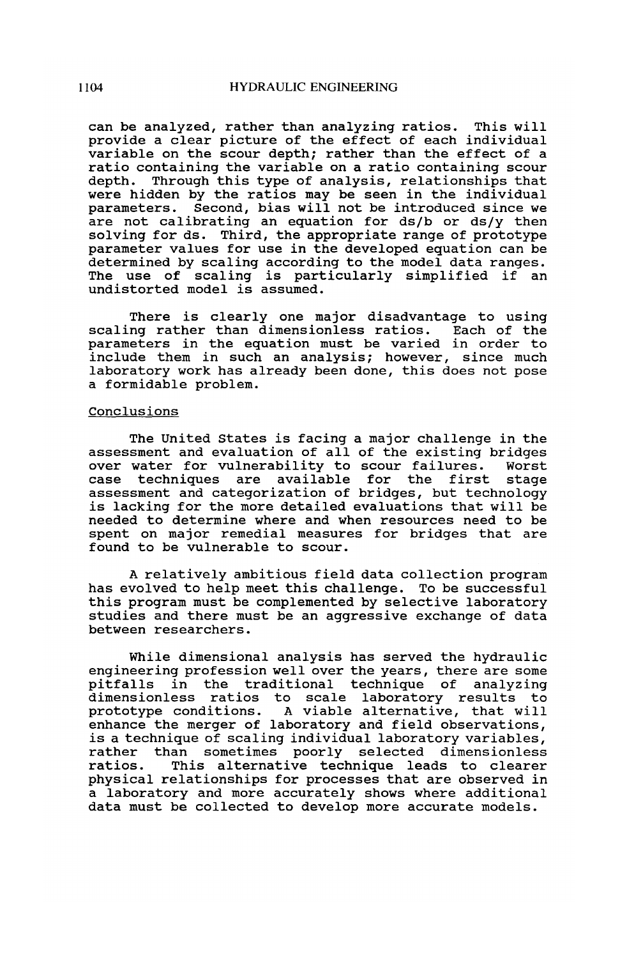can be analyzed, rather than analyzing ratios. This will provide a clear picture of the effect of each individual variable on the scour depth; rather than the effect of a ratio containing the variable on a ratio containing scour depth. Through this type of analysis, relationships that were hidden by the ratios may be seen in the individual parameters. Second, bias will not be introduced since we are not calibrating an equation for ds/b or ds/y then solving for ds. Third, the appropriate range of prototype parameter values for use in the developed equation can be determined by scaling according to the model data ranges. The use of scaling is particularly simplified if an undistorted model is assumed.

There is clearly one major disadvantage to using scaling rather than dimensionless ratios. Each of the parameters in the equation must be varied in order to include them in such an analysis; however, since much laboratory work has already been done, this does not pose a formidable problem.

#### Conclusions

The united states is facing a major challenge in the assessment and evaluation of all of the existing bridges over water for vulnerability to scour failures. Worst<br>case techniques are available for the first stage case techniques are available for the first assessment and categorization of bridges, but technology is lacking for the more detailed evaluations that will be needed to determine where and when resources need to be spent on major remedial measures for bridges that are found to be vulnerable to scour.

A relatively ambitious field data collection program has evolved to help meet this challenge. To be successful this program must be complemented by selective laboratory studies and there must be an aggressive exchange of data between researchers.

While dimensional analysis has served the hydraulic engineering profession well over the years, there are some pitfalls in the traditional technique of analyzing dimensionless ratios to scale laboratory results prototype conditions. A viable alternative, that will enhance the merger of laboratory and field observations, is a technique of scaling individual laboratory variables, rather than sometimes poorly selected dimensionless ratios. This alternative technique leads to clearer physical relationships for processes that are observed in a laboratory and more accurately shows where additional data must be collected to develop more accurate models.